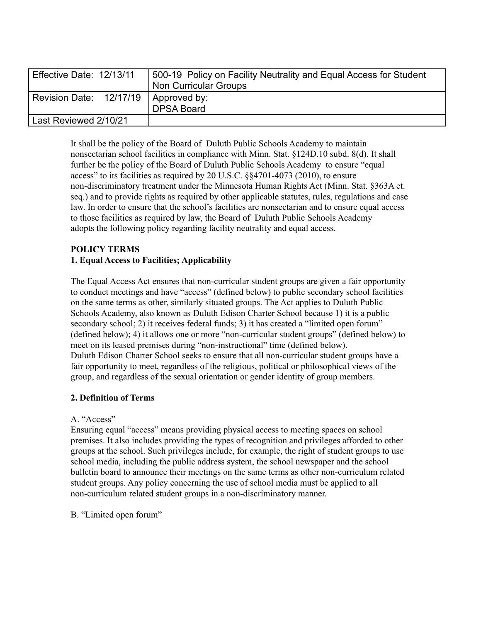| Effective Date: 12/13/11 | 500-19 Policy on Facility Neutrality and Equal Access for Student<br>Non Curricular Groups |
|--------------------------|--------------------------------------------------------------------------------------------|
| Revision Date: 12/17/19  | Approved by:<br><b>DPSA Board</b>                                                          |
| Last Reviewed 2/10/21    |                                                                                            |

It shall be the policy of the Board of Duluth Public Schools Academy to maintain nonsectarian school facilities in compliance with Minn. Stat. §124D.10 subd. 8(d). It shall further be the policy of the Board of Duluth Public Schools Academy to ensure "equal access" to its facilities as required by 20 U.S.C. §§4701-4073 (2010), to ensure non-discriminatory treatment under the Minnesota Human Rights Act (Minn. Stat. §363A et. seq.) and to provide rights as required by other applicable statutes, rules, regulations and case law. In order to ensure that the school's facilities are nonsectarian and to ensure equal access to those facilities as required by law, the Board of Duluth Public Schools Academy adopts the following policy regarding facility neutrality and equal access.

# **POLICY TERMS 1. Equal Access to Facilities; Applicability**

The Equal Access Act ensures that non-curricular student groups are given a fair opportunity to conduct meetings and have "access" (defined below) to public secondary school facilities on the same terms as other, similarly situated groups. The Act applies to Duluth Public Schools Academy, also known as Duluth Edison Charter School because 1) it is a public secondary school; 2) it receives federal funds; 3) it has created a "limited open forum" (defined below); 4) it allows one or more "non-curricular student groups" (defined below) to meet on its leased premises during "non-instructional" time (defined below). Duluth Edison Charter School seeks to ensure that all non-curricular student groups have a fair opportunity to meet, regardless of the religious, political or philosophical views of the group, and regardless of the sexual orientation or gender identity of group members.

## **2. Definition of Terms**

## A. "Access"

Ensuring equal "access" means providing physical access to meeting spaces on school premises. It also includes providing the types of recognition and privileges afforded to other groups at the school. Such privileges include, for example, the right of student groups to use school media, including the public address system, the school newspaper and the school bulletin board to announce their meetings on the same terms as other non-curriculum related student groups. Any policy concerning the use of school media must be applied to all non-curriculum related student groups in a non-discriminatory manner.

B. "Limited open forum"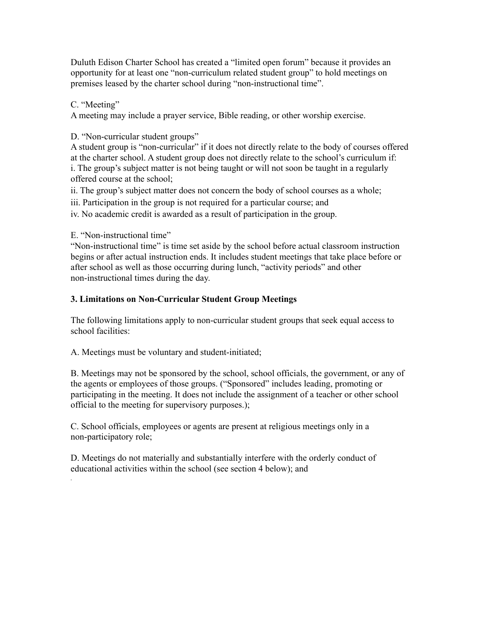Duluth Edison Charter School has created a "limited open forum" because it provides an opportunity for at least one "non-curriculum related student group" to hold meetings on premises leased by the charter school during "non-instructional time".

### C. "Meeting"

*.*

A meeting may include a prayer service, Bible reading, or other worship exercise.

D. "Non-curricular student groups"

A student group is "non-curricular" if it does not directly relate to the body of courses offered at the charter school. A student group does not directly relate to the school's curriculum if: i. The group's subject matter is not being taught or will not soon be taught in a regularly offered course at the school;

ii. The group's subject matter does not concern the body of school courses as a whole;

iii. Participation in the group is not required for a particular course; and

iv. No academic credit is awarded as a result of participation in the group.

E. "Non-instructional time"

"Non-instructional time" is time set aside by the school before actual classroom instruction begins or after actual instruction ends. It includes student meetings that take place before or after school as well as those occurring during lunch, "activity periods" and other non-instructional times during the day.

### **3. Limitations on Non-Curricular Student Group Meetings**

The following limitations apply to non-curricular student groups that seek equal access to school facilities:

A. Meetings must be voluntary and student-initiated;

B. Meetings may not be sponsored by the school, school officials, the government, or any of the agents or employees of those groups. ("Sponsored" includes leading, promoting or participating in the meeting. It does not include the assignment of a teacher or other school official to the meeting for supervisory purposes.);

C. School officials, employees or agents are present at religious meetings only in a non-participatory role;

D. Meetings do not materially and substantially interfere with the orderly conduct of educational activities within the school (see section 4 below); and